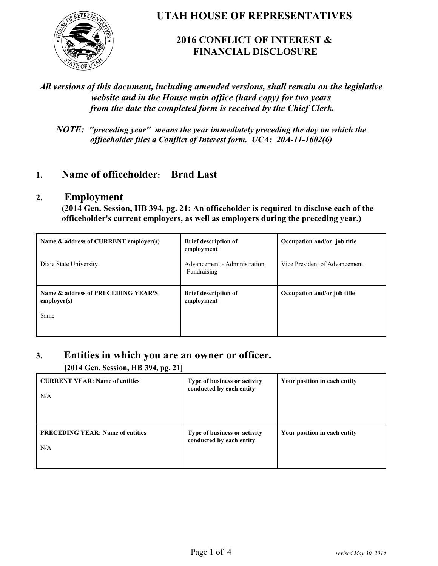

**UTAH HOUSE OF REPRESENTATIVES**

## **2016 CONFLICT OF INTEREST & FINANCIAL DISCLOSURE**

### *All versions of this document, including amended versions, shall remain on the legislative website and in the House main office (hard copy) for two years from the date the completed form is received by the Chief Clerk.*

*NOTE: "preceding year" means the year immediately preceding the day on which the officeholder files a Conflict of Interest form. UCA: 20A-11-1602(6)*

## **1. Name of officeholder: Brad Last**

#### **2. Employment**

**(2014 Gen. Session, HB 394, pg. 21: An officeholder is required to disclose each of the officeholder's current employers, as well as employers during the preceding year.)**

| Name & address of CURRENT employer(s)             | <b>Brief description of</b><br>employment    | Occupation and/or job title   |
|---------------------------------------------------|----------------------------------------------|-------------------------------|
| Dixie State University                            | Advancement - Administration<br>-Fundraising | Vice President of Advancement |
| Name & address of PRECEDING YEAR'S<br>emplayer(s) | <b>Brief description of</b><br>employment    | Occupation and/or job title   |
| Same                                              |                                              |                               |

#### **3. Entities in which you are an owner or officer.**

**[2014 Gen. Session, HB 394, pg. 21]**

| <b>CURRENT YEAR: Name of entities</b><br>N/A   | Type of business or activity<br>conducted by each entity | Your position in each entity |
|------------------------------------------------|----------------------------------------------------------|------------------------------|
| <b>PRECEDING YEAR: Name of entities</b><br>N/A | Type of business or activity<br>conducted by each entity | Your position in each entity |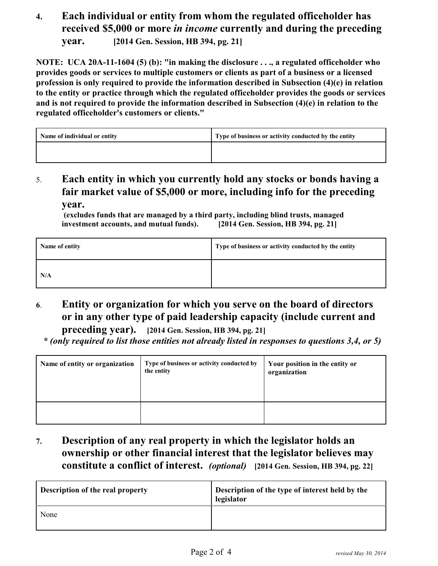## **4. Each individual or entity from whom the regulated officeholder has received \$5,000 or more** *in income* **currently and during the preceding year. [2014 Gen. Session, HB 394, pg. 21]**

**NOTE: UCA 20A-11-1604 (5) (b): "in making the disclosure . . ., a regulated officeholder who provides goods or services to multiple customers or clients as part of a business or a licensed profession is only required to provide the information described in Subsection (4)(e) in relation to the entity or practice through which the regulated officeholder provides the goods or services and is not required to provide the information described in Subsection (4)(e) in relation to the regulated officeholder's customers or clients."**

| Name of individual or entity | Type of business or activity conducted by the entity |
|------------------------------|------------------------------------------------------|
|                              |                                                      |

5. **Each entity in which you currently hold any stocks or bonds having a fair market value of \$5,000 or more, including info for the preceding year.**

| 111 , wo vill will wo wo will voly will be in wo were a will wo ft | $\frac{1}{2}$ = 0.1. 8 0.000 0.000 0.000 0.000 0.000 0.000 0.000 0.000 0.000 0.000 0.000 0.000 0.000 0.000 0.000 0.000 0.000 0.000 0.000 0.000 0.000 0.000 0.000 0.000 0.000 0.000 0.000 0.000 0.000 0.000 0.000 0.000 0.000 0.00 |
|--------------------------------------------------------------------|-----------------------------------------------------------------------------------------------------------------------------------------------------------------------------------------------------------------------------------|
| Name of entity                                                     | Type of business or activity conducted by the entity                                                                                                                                                                              |
| N/A                                                                |                                                                                                                                                                                                                                   |

 **(excludes funds that are managed by a third party, including blind trusts, managed investment accounts, and mutual funds). [2014 Gen. Session, HB 394, pg. 21]**

**6**. **Entity or organization for which you serve on the board of directors or in any other type of paid leadership capacity (include current and**

**preceding year). [2014 Gen. Session, HB 394, pg. 21]**  *\* (only required to list those entities not already listed in responses to questions 3,4, or 5)*

| Name of entity or organization | Type of business or activity conducted by<br>the entity | Your position in the entity or<br>organization |
|--------------------------------|---------------------------------------------------------|------------------------------------------------|
|                                |                                                         |                                                |

**7. Description of any real property in which the legislator holds an ownership or other financial interest that the legislator believes may constitute a conflict of interest.** *(optional)* **[2014 Gen. Session, HB 394, pg. 22]**

| <b>Description of the real property</b> | Description of the type of interest held by the<br>legislator |
|-----------------------------------------|---------------------------------------------------------------|
| None                                    |                                                               |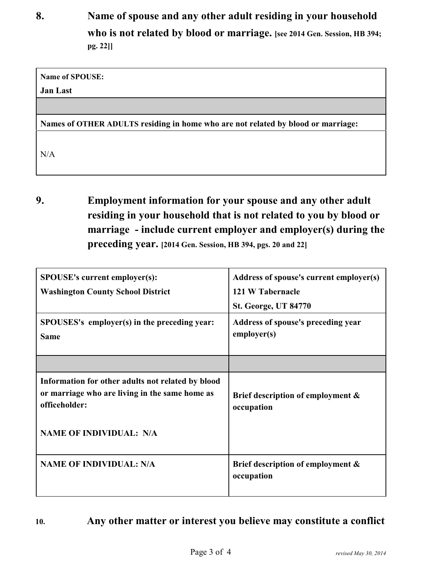**8. Name of spouse and any other adult residing in your household who is not related by blood or marriage. [see 2014 Gen. Session, HB 394; pg. 22]]**

**Name of SPOUSE:** 

**Jan Last**

**Names of OTHER ADULTS residing in home who are not related by blood or marriage:**

N/A

**9. Employment information for your spouse and any other adult residing in your household that is not related to you by blood or marriage - include current employer and employer(s) during the preceding year. [2014 Gen. Session, HB 394, pgs. 20 and 22]**

| <b>SPOUSE's current employer(s):</b><br><b>Washington County School District</b>                                     | Address of spouse's current employer(s)<br>121 W Tabernacle<br><b>St. George, UT 84770</b> |
|----------------------------------------------------------------------------------------------------------------------|--------------------------------------------------------------------------------------------|
| SPOUSES's employer(s) in the preceding year:<br><b>Same</b>                                                          | Address of spouse's preceding year<br>employer(s)                                          |
|                                                                                                                      |                                                                                            |
| Information for other adults not related by blood<br>or marriage who are living in the same home as<br>officeholder: | Brief description of employment &<br>occupation                                            |
| <b>NAME OF INDIVIDUAL: N/A</b>                                                                                       |                                                                                            |
| <b>NAME OF INDIVIDUAL: N/A</b>                                                                                       | Brief description of employment &<br>occupation                                            |

**10. Any other matter or interest you believe may constitute a conflict**